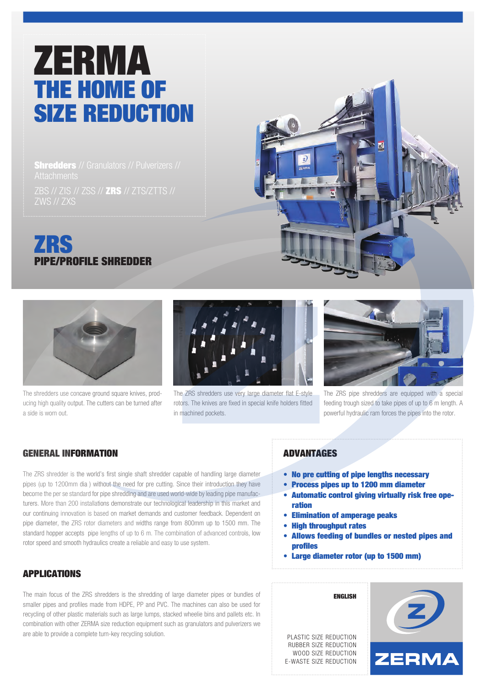# ZERMA THE HOME OF SIZE REDUCTION

**Shredders** // Granulators // Pulverizers // ZBS // ZIS // ZSS // ZRS // ZTS/ZTTS // ZWS // ZXS







The shredders use concave ground square knives, producing high quality output. The cutters can be turned after a side is worn out.



The ZRS shredders use very large diameter flat E-style rotors. The knives are fixed in special knife holders fitted in machined pockets.



The ZRS pipe shredders are equipped with a special feeding trough sized to take pipes of up to 6 m length. A powerful hydraulic ram forces the pipes into the rotor.

### GENERAL INFORMATION

The ZRS shredder is the world's first single shaft shredder capable of handling large diameter pipes (up to 1200mm dia ) without the need for pre cutting. Since their introduction they have become the per se standard for pipe shredding and are used world-wide by leading pipe manufacturers. More than 200 installations demonstrate our technological leadership in this market and our continuing innovation is based on market demands and customer feedback. Dependent on pipe diameter, the ZRS rotor diameters and widths range from 800mm up to 1500 mm. The standard hopper accepts pipe lengths of up to 6 m. The combination of advanced controls, low rotor speed and smooth hydraulics create a reliable and easy to use system.

## APPLICATIONS

The main focus of the ZRS shredders is the shredding of large diameter pipes or bundles of smaller pipes and profiles made from HDPE, PP and PVC. The machines can also be used for recycling of other plastic materials such as large lumps, stacked wheelie bins and pallets etc. In combination with other ZERMA size reduction equipment such as granulators and pulverizers we are able to provide a complete turn-key recycling solution.

#### ADVANTAGES

- No pre cutting of pipe lengths necessary
- Process pipes up to 1200 mm diameter
- Automatic control giving virtually risk free ope ration
- Elimination of amperage peaks
- High throughput rates
- Allows feeding of bundles or nested pipes and profiles
- Large diameter rotor (up to 1500 mm)



ENGLISH